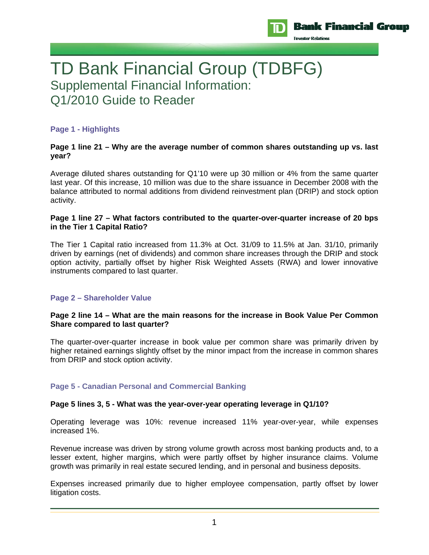

# TD Bank Financial Group (TDBFG) Supplemental Financial Information: Q1/2010 Guide to Reader

# **Page 1 - Highlights**

# **Page 1 line 21 – Why are the average number of common shares outstanding up vs. last year?**

Average diluted shares outstanding for Q1'10 were up 30 million or 4% from the same quarter last year. Of this increase, 10 million was due to the share issuance in December 2008 with the balance attributed to normal additions from dividend reinvestment plan (DRIP) and stock option activity.

## **Page 1 line 27 – What factors contributed to the quarter-over-quarter increase of 20 bps in the Tier 1 Capital Ratio?**

The Tier 1 Capital ratio increased from 11.3% at Oct. 31/09 to 11.5% at Jan. 31/10, primarily driven by earnings (net of dividends) and common share increases through the DRIP and stock option activity, partially offset by higher Risk Weighted Assets (RWA) and lower innovative instruments compared to last quarter.

# **Page 2 – Shareholder Value**

## **Page 2 line 14 – What are the main reasons for the increase in Book Value Per Common Share compared to last quarter?**

The quarter-over-quarter increase in book value per common share was primarily driven by higher retained earnings slightly offset by the minor impact from the increase in common shares from DRIP and stock option activity.

# **Page 5 - Canadian Personal and Commercial Banking**

#### **Page 5 lines 3, 5 - What was the year-over-year operating leverage in Q1/10?**

Operating leverage was 10%: revenue increased 11% year-over-year, while expenses increased 1%.

Revenue increase was driven by strong volume growth across most banking products and, to a lesser extent, higher margins, which were partly offset by higher insurance claims. Volume growth was primarily in real estate secured lending, and in personal and business deposits.

Expenses increased primarily due to higher employee compensation, partly offset by lower litigation costs.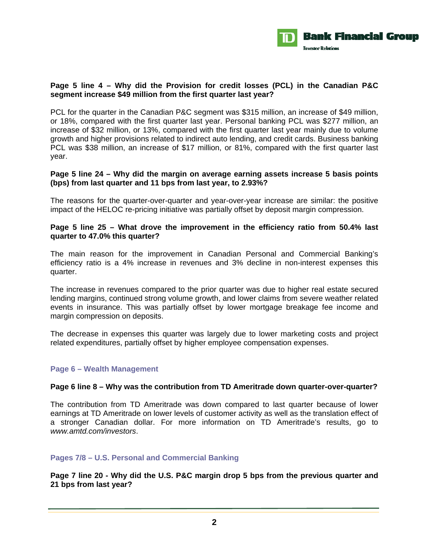

# **Page 5 line 4 – Why did the Provision for credit losses (PCL) in the Canadian P&C segment increase \$49 million from the first quarter last year?**

PCL for the quarter in the Canadian P&C segment was \$315 million, an increase of \$49 million, or 18%, compared with the first quarter last year. Personal banking PCL was \$277 million, an increase of \$32 million, or 13%, compared with the first quarter last year mainly due to volume growth and higher provisions related to indirect auto lending, and credit cards. Business banking PCL was \$38 million, an increase of \$17 million, or 81%, compared with the first quarter last year.

### **Page 5 line 24 – Why did the margin on average earning assets increase 5 basis points (bps) from last quarter and 11 bps from last year, to 2.93%?**

The reasons for the quarter-over-quarter and year-over-year increase are similar: the positive impact of the HELOC re-pricing initiative was partially offset by deposit margin compression.

### **Page 5 line 25 – What drove the improvement in the efficiency ratio from 50.4% last quarter to 47.0% this quarter?**

The main reason for the improvement in Canadian Personal and Commercial Banking's efficiency ratio is a 4% increase in revenues and 3% decline in non-interest expenses this quarter.

The increase in revenues compared to the prior quarter was due to higher real estate secured lending margins, continued strong volume growth, and lower claims from severe weather related events in insurance. This was partially offset by lower mortgage breakage fee income and margin compression on deposits.

The decrease in expenses this quarter was largely due to lower marketing costs and project related expenditures, partially offset by higher employee compensation expenses.

#### **Page 6 – Wealth Management**

#### **Page 6 line 8 – Why was the contribution from TD Ameritrade down quarter-over-quarter?**

The contribution from TD Ameritrade was down compared to last quarter because of lower earnings at TD Ameritrade on lower levels of customer activity as well as the translation effect of a stronger Canadian dollar. For more information on TD Ameritrade's results, go to *www.amtd.com/investors*.

#### **Pages 7/8 – U.S. Personal and Commercial Banking**

**Page 7 line 20 - Why did the U.S. P&C margin drop 5 bps from the previous quarter and 21 bps from last year?**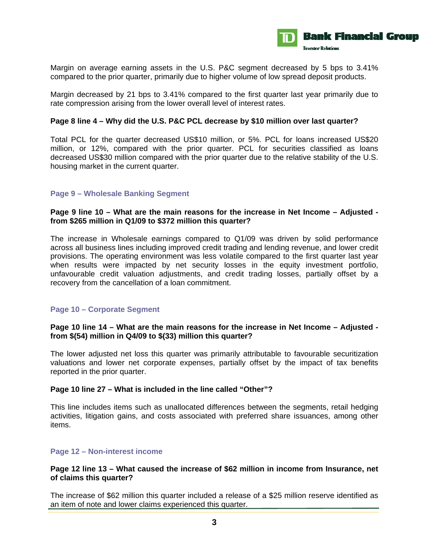

Margin on average earning assets in the U.S. P&C segment decreased by 5 bps to 3.41% compared to the prior quarter, primarily due to higher volume of low spread deposit products.

Margin decreased by 21 bps to 3.41% compared to the first quarter last year primarily due to rate compression arising from the lower overall level of interest rates.

#### **Page 8 line 4 – Why did the U.S. P&C PCL decrease by \$10 million over last quarter?**

Total PCL for the quarter decreased US\$10 million, or 5%. PCL for loans increased US\$20 million, or 12%, compared with the prior quarter. PCL for securities classified as loans decreased US\$30 million compared with the prior quarter due to the relative stability of the U.S. housing market in the current quarter.

## **Page 9 – Wholesale Banking Segment**

#### **Page 9 line 10 – What are the main reasons for the increase in Net Income – Adjusted from \$265 million in Q1/09 to \$372 million this quarter?**

The increase in Wholesale earnings compared to Q1/09 was driven by solid performance across all business lines including improved credit trading and lending revenue, and lower credit provisions. The operating environment was less volatile compared to the first quarter last year when results were impacted by net security losses in the equity investment portfolio, unfavourable credit valuation adjustments, and credit trading losses, partially offset by a recovery from the cancellation of a loan commitment.

#### **Page 10 – Corporate Segment**

#### **Page 10 line 14 – What are the main reasons for the increase in Net Income – Adjusted from \$(54) million in Q4/09 to \$(33) million this quarter?**

The lower adjusted net loss this quarter was primarily attributable to favourable securitization valuations and lower net corporate expenses, partially offset by the impact of tax benefits reported in the prior quarter.

### **Page 10 line 27 – What is included in the line called "Other"?**

This line includes items such as unallocated differences between the segments, retail hedging activities, litigation gains, and costs associated with preferred share issuances, among other items.

#### **Page 12 – Non-interest income**

#### **Page 12 line 13 – What caused the increase of \$62 million in income from Insurance, net of claims this quarter?**

The increase of \$62 million this quarter included a release of a \$25 million reserve identified as an item of note and lower claims experienced this quarter.